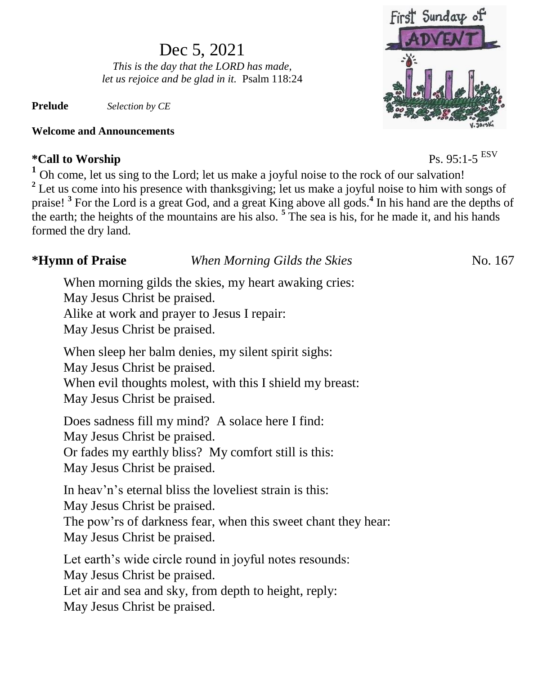# Dec 5, 2021

*This is the day that the LORD has made, let us rejoice and be glad in it.* Psalm 118:24

**Prelude** *Selection by CE*

### **Welcome and Announcements**

### $*$ Call to Worship

**<sup>1</sup>** Oh come, let us sing to the Lord; let us make a joyful noise to the rock of our salvation! <sup>2</sup> Let us come into his presence with thanksgiving; let us make a joyful noise to him with songs of praise! **<sup>3</sup>** For the Lord is a great God, and a great King above all gods.**<sup>4</sup>** In his hand are the depths of the earth; the heights of the mountains are his also. **<sup>5</sup>** The sea is his, for he made it, and his hands formed the dry land.

## **\*Hymn of Praise** *When Morning Gilds the Skies* No. 167

When morning gilds the skies, my heart awaking cries: May Jesus Christ be praised. Alike at work and prayer to Jesus I repair: May Jesus Christ be praised.

When sleep her balm denies, my silent spirit sighs: May Jesus Christ be praised. When evil thoughts molest, with this I shield my breast: May Jesus Christ be praised.

Does sadness fill my mind? A solace here I find: May Jesus Christ be praised. Or fades my earthly bliss? My comfort still is this: May Jesus Christ be praised.

In heav'n's eternal bliss the loveliest strain is this: May Jesus Christ be praised. The pow'rs of darkness fear, when this sweet chant they hear: May Jesus Christ be praised.

Let earth's wide circle round in joyful notes resounds: May Jesus Christ be praised. Let air and sea and sky, from depth to height, reply: May Jesus Christ be praised.



 $Ps. 95:1-5$ <sup>ESV</sup>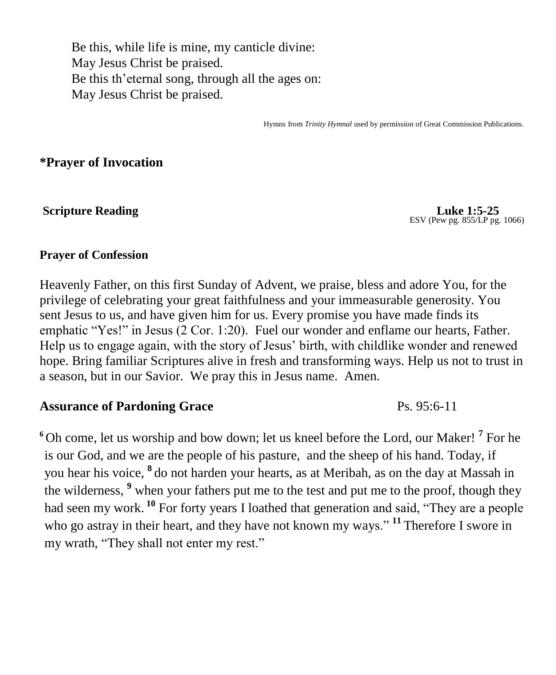Be this, while life is mine, my canticle divine: May Jesus Christ be praised. Be this th'eternal song, through all the ages on: May Jesus Christ be praised.

Hymns from *Trinity Hymnal* used by permission of Great Commission Publications.

**\*Prayer of Invocation** 

**Scripture Reading Luke 1:5-25** 

ESV (Pew pg. 855/LP pg. 1066)

### **Prayer of Confession**

Heavenly Father, on this first Sunday of Advent, we praise, bless and adore You, for the privilege of celebrating your great faithfulness and your immeasurable generosity. You sent Jesus to us, and have given him for us. Every promise you have made finds its emphatic "Yes!" in Jesus (2 Cor. 1:20). Fuel our wonder and enflame our hearts, Father. Help us to engage again, with the story of Jesus' birth, with childlike wonder and renewed hope. Bring familiar Scriptures alive in fresh and transforming ways. Help us not to trust in a season, but in our Savior. We pray this in Jesus name. Amen.

### **Assurance of Pardoning Grace** Ps. 95:6-11

**<sup>6</sup>** Oh come, let us worship and bow down; let us kneel before the Lord, our Maker! **<sup>7</sup>** For he is our God, and we are the people of his pasture, and the sheep of his hand. Today, if you hear his voice, **<sup>8</sup>** do not harden your hearts, as at Meribah, as on the day at Massah in the wilderness, <sup>9</sup> when your fathers put me to the test and put me to the proof, though they had seen my work.<sup>10</sup> For forty years I loathed that generation and said, "They are a people who go astray in their heart, and they have not known my ways." **<sup>11</sup>** Therefore I swore in my wrath, "They shall not enter my rest."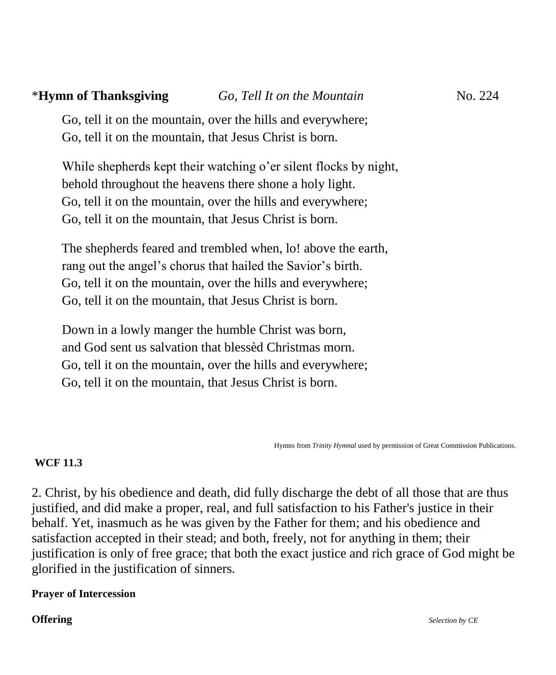Go, tell it on the mountain, over the hills and everywhere; Go, tell it on the mountain, that Jesus Christ is born.

While shepherds kept their watching o'er silent flocks by night, behold throughout the heavens there shone a holy light. Go, tell it on the mountain, over the hills and everywhere; Go, tell it on the mountain, that Jesus Christ is born.

The shepherds feared and trembled when, lo! above the earth, rang out the angel's chorus that hailed the Savior's birth. Go, tell it on the mountain, over the hills and everywhere; Go, tell it on the mountain, that Jesus Christ is born.

Down in a lowly manger the humble Christ was born, and God sent us salvation that blessèd Christmas morn. Go, tell it on the mountain, over the hills and everywhere; Go, tell it on the mountain, that Jesus Christ is born.

Hymns from *Trinity Hymnal* used by permission of Great Commission Publications.

### **WCF 11.3**

2. Christ, by his obedience and death, did fully discharge the debt of all those that are thus justified, and did make a proper, real, and full satisfaction to his Father's justice in their behalf. Yet, inasmuch as he was given by the Father for them; and his obedience and satisfaction accepted in their stead; and both, freely, not for anything in them; their justification is only of free grace; that both the exact justice and rich grace of God might be glorified in the justification of sinners.

### **Prayer of Intercession**

**Offering** *Selection by CE*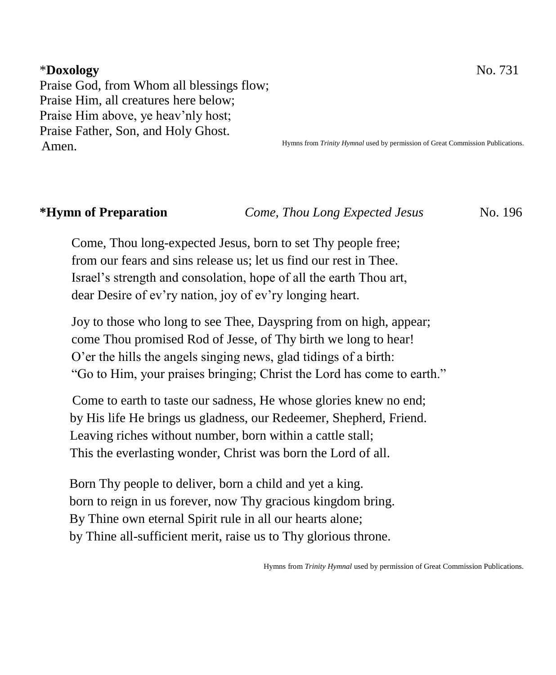### \***Doxology** No. 731

Praise God, from Whom all blessings flow; Praise Him, all creatures here below; Praise Him above, ye heav'nly host; Praise Father, Son, and Holy Ghost. Amen.

Hymns from *Trinity Hymnal* used by permission of Great Commission Publications.

**\*Hymn of Preparation** *Come, Thou Long Expected Jesus* No. 196

Come, Thou long-expected Jesus, born to set Thy people free; from our fears and sins release us; let us find our rest in Thee. Israel's strength and consolation, hope of all the earth Thou art, dear Desire of ev'ry nation, joy of ev'ry longing heart.

Joy to those who long to see Thee, Dayspring from on high, appear; come Thou promised Rod of Jesse, of Thy birth we long to hear! O'er the hills the angels singing news, glad tidings of a birth: "Go to Him, your praises bringing; Christ the Lord has come to earth."

Come to earth to taste our sadness, He whose glories knew no end; by His life He brings us gladness, our Redeemer, Shepherd, Friend. Leaving riches without number, born within a cattle stall; This the everlasting wonder, Christ was born the Lord of all.

 Born Thy people to deliver, born a child and yet a king. born to reign in us forever, now Thy gracious kingdom bring. By Thine own eternal Spirit rule in all our hearts alone; by Thine all-sufficient merit, raise us to Thy glorious throne.

Hymns from *Trinity Hymnal* used by permission of Great Commission Publications.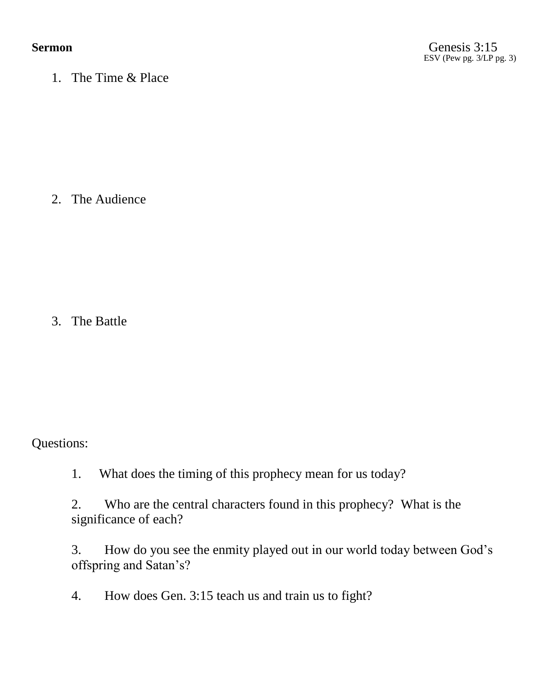1. The Time & Place

2. The Audience

3. The Battle

Questions:

1. What does the timing of this prophecy mean for us today?

2. Who are the central characters found in this prophecy? What is the significance of each?

3. How do you see the enmity played out in our world today between God's offspring and Satan's?

4. How does Gen. 3:15 teach us and train us to fight?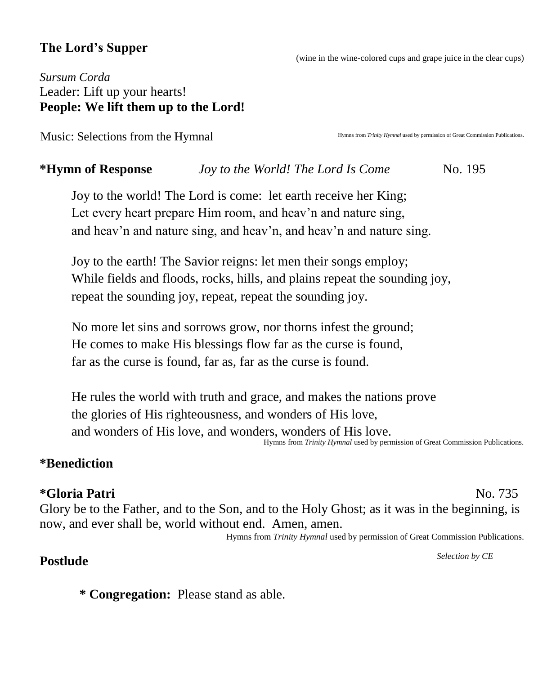## **The Lord's Supper**

(wine in the wine-colored cups and grape juice in the clear cups)

## *Sursum Corda* Leader: Lift up your hearts! **People: We lift them up to the Lord!**

Music: Selections from the Hymnal

Hymns from *Trinity Hymnal* used by permission of Great Commission Publications.

## **\*Hymn of Response** *Joy to the World! The Lord Is Come* No. 195

Joy to the world! The Lord is come: let earth receive her King; Let every heart prepare Him room, and heav'n and nature sing, and heav'n and nature sing, and heav'n, and heav'n and nature sing.

Joy to the earth! The Savior reigns: let men their songs employ; While fields and floods, rocks, hills, and plains repeat the sounding joy, repeat the sounding joy, repeat, repeat the sounding joy.

No more let sins and sorrows grow, nor thorns infest the ground; He comes to make His blessings flow far as the curse is found, far as the curse is found, far as, far as the curse is found.

He rules the world with truth and grace, and makes the nations prove the glories of His righteousness, and wonders of His love, and wonders of His love, and wonders, wonders of His love. Hymns from *Trinity Hymnal* used by permission of Great Commission Publications.

## **\*Benediction**

## **\*Gloria Patri** No. 735

Glory be to the Father, and to the Son, and to the Holy Ghost; as it was in the beginning, is now, and ever shall be, world without end. Amen, amen.

Hymns from *Trinity Hymnal* used by permission of Great Commission Publications.

## **Postlude** *Selection by CE*

**\* Congregation:** Please stand as able.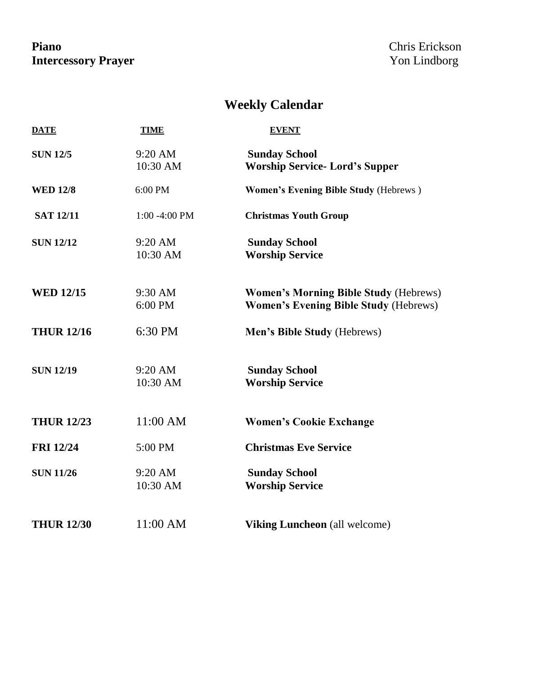## Piano Chris Erickson<br>Intercessory Prayer **Prayer** School Chris Erickson<br>Prayer School Chris Erickson **Intercessory Prayer**

# **Weekly Calendar**

| <b>DATE</b>       | <b>TIME</b>             | <b>EVENT</b>                                                                                 |  |  |  |
|-------------------|-------------------------|----------------------------------------------------------------------------------------------|--|--|--|
| <b>SUN 12/5</b>   | $9:20$ AM<br>10:30 AM   | <b>Sunday School</b><br><b>Worship Service- Lord's Supper</b>                                |  |  |  |
| <b>WED 12/8</b>   | 6:00 PM                 | <b>Women's Evening Bible Study (Hebrews)</b>                                                 |  |  |  |
| <b>SAT 12/11</b>  | $1:00 - 4:00$ PM        | <b>Christmas Youth Group</b>                                                                 |  |  |  |
| <b>SUN 12/12</b>  | $9:20$ AM<br>$10:30$ AM | <b>Sunday School</b><br><b>Worship Service</b>                                               |  |  |  |
| <b>WED 12/15</b>  | $9:30$ AM<br>$6:00$ PM  | <b>Women's Morning Bible Study (Hebrews)</b><br><b>Women's Evening Bible Study (Hebrews)</b> |  |  |  |
| <b>THUR 12/16</b> | 6:30 PM                 | Men's Bible Study (Hebrews)                                                                  |  |  |  |
| <b>SUN 12/19</b>  | $9:20$ AM<br>10:30 AM   | <b>Sunday School</b><br><b>Worship Service</b>                                               |  |  |  |
| <b>THUR 12/23</b> | 11:00 AM                | <b>Women's Cookie Exchange</b>                                                               |  |  |  |
| <b>FRI</b> 12/24  | 5:00 PM                 | <b>Christmas Eve Service</b>                                                                 |  |  |  |
| <b>SUN 11/26</b>  | $9:20$ AM<br>10:30 AM   | <b>Sunday School</b><br><b>Worship Service</b>                                               |  |  |  |
| <b>THUR 12/30</b> | 11:00 AM                | <b>Viking Luncheon</b> (all welcome)                                                         |  |  |  |